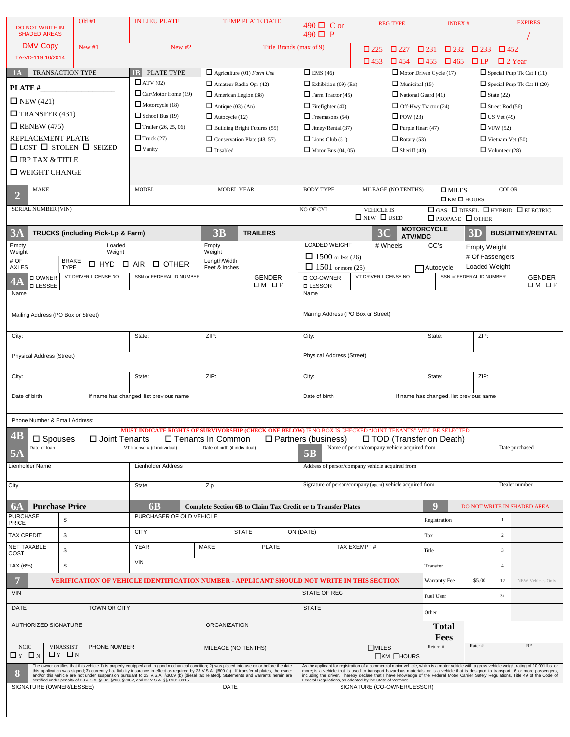| DO NOT WRITE IN                                          |                   | Old #1                                                                                                                                                                                                                                                                                                                                                                  | <b>IN LIEU PLATE</b>         |                                               | <b>TEMP PLATE DATE</b>                                  |                                                       |                                                                                                              | 490 <b>□</b> C or                                                                                   |                                         |                                             | <b>REG TYPE</b>                                                           |                       | <b>INDEX#</b>                                                                    |                                    |                | <b>EXPIRES</b>                                                                                                                                                                                                                                                                                                                                                                                                                    |  |  |
|----------------------------------------------------------|-------------------|-------------------------------------------------------------------------------------------------------------------------------------------------------------------------------------------------------------------------------------------------------------------------------------------------------------------------------------------------------------------------|------------------------------|-----------------------------------------------|---------------------------------------------------------|-------------------------------------------------------|--------------------------------------------------------------------------------------------------------------|-----------------------------------------------------------------------------------------------------|-----------------------------------------|---------------------------------------------|---------------------------------------------------------------------------|-----------------------|----------------------------------------------------------------------------------|------------------------------------|----------------|-----------------------------------------------------------------------------------------------------------------------------------------------------------------------------------------------------------------------------------------------------------------------------------------------------------------------------------------------------------------------------------------------------------------------------------|--|--|
| <b>SHADED AREAS</b>                                      |                   |                                                                                                                                                                                                                                                                                                                                                                         |                              |                                               |                                                         |                                                       | $490\Box P$                                                                                                  |                                                                                                     |                                         |                                             |                                                                           |                       |                                                                                  |                                    |                |                                                                                                                                                                                                                                                                                                                                                                                                                                   |  |  |
| <b>DMV Copy</b>                                          |                   | New #1                                                                                                                                                                                                                                                                                                                                                                  | New $#2$                     |                                               |                                                         |                                                       | Title Brands (max of 9)                                                                                      |                                                                                                     |                                         |                                             | $\Box$ 227                                                                | $\Box$ 231            | $\square$ 232                                                                    | $\Box$ 233                         | $\Box$ 452     |                                                                                                                                                                                                                                                                                                                                                                                                                                   |  |  |
| TA-VD-119 10/2014                                        |                   |                                                                                                                                                                                                                                                                                                                                                                         |                              |                                               |                                                         |                                                       |                                                                                                              |                                                                                                     |                                         | $\Box$ 453                                  | $\Box$ 454 $\Box$ 455 $\Box$ 465                                          |                       |                                                                                  | $\Box L$ P                         | $\Box$ 2 Year  |                                                                                                                                                                                                                                                                                                                                                                                                                                   |  |  |
| <b>TRANSACTION TYPE</b><br>1A                            |                   |                                                                                                                                                                                                                                                                                                                                                                         | 1 <sub>B</sub>               | PLATE TYPE                                    |                                                         | $\Box$ Agriculture (01) Farm Use                      |                                                                                                              | $\Box$ EMS (46)                                                                                     |                                         |                                             | $\Box$ Motor Driven Cycle (17)                                            |                       |                                                                                  |                                    |                | $\Box$ Special Purp Tk Cat I (11)                                                                                                                                                                                                                                                                                                                                                                                                 |  |  |
| PLATE#                                                   |                   |                                                                                                                                                                                                                                                                                                                                                                         |                              | $\Box$ ATV (02)<br>$\Box$ Car/Motor Home (19) |                                                         | $\Box$ Amateur Radio Opr (42)                         |                                                                                                              | Exhibition $(09)$ (Ex)<br>$\Box$ Municipal (15)                                                     |                                         |                                             |                                                                           |                       | $\Box$ State (22)                                                                | $\Box$ Special Purp Tk Cat II (20) |                |                                                                                                                                                                                                                                                                                                                                                                                                                                   |  |  |
| $\Box$ NEW (421)                                         |                   |                                                                                                                                                                                                                                                                                                                                                                         | $\Box$ Motorcycle (18)       |                                               | $\Box$ American Legion (38)<br>$\Box$ Antique (03) (An) |                                                       |                                                                                                              | $\Box$ Farm Tractor (45)<br>$\Box$ National Guard (41)                                              |                                         |                                             |                                                                           |                       |                                                                                  |                                    |                |                                                                                                                                                                                                                                                                                                                                                                                                                                   |  |  |
| $\Box$ TRANSFER (431)                                    |                   |                                                                                                                                                                                                                                                                                                                                                                         | $\Box$ School Bus (19)       |                                               | $\Box$ Autocycle (12)                                   |                                                       |                                                                                                              | $\Box$ Off-Hwy Tractor (24)<br>$\Box$ Firefighter (40)<br>$\Box$ POW (23)<br>$\Box$ Freemasons (54) |                                         |                                             |                                                                           |                       | $\Box$ Street Rod (56)<br>$\Box$ US Vet (49)                                     |                                    |                |                                                                                                                                                                                                                                                                                                                                                                                                                                   |  |  |
| $\Box$ RENEW (475)<br>Trailer $(26, 25, 06)$             |                   |                                                                                                                                                                                                                                                                                                                                                                         |                              | $\Box$ Building Bright Futures (55)           |                                                         | $\Box$ Jitney/Rental (37)<br>$\Box$ Purple Heart (47) |                                                                                                              |                                                                                                     |                                         |                                             | $\Box$ VFW (52)                                                           |                       |                                                                                  |                                    |                |                                                                                                                                                                                                                                                                                                                                                                                                                                   |  |  |
| REPLACEMENT PLATE<br>$\Box$ Truck (27)                   |                   |                                                                                                                                                                                                                                                                                                                                                                         |                              | $\Box$ Conservation Plate (48, 57)            |                                                         | $\Box$ Lions Club (51)<br>$\Box$ Rotary (53)          |                                                                                                              |                                                                                                     |                                         |                                             |                                                                           |                       | $\Box$ Vietnam Vet (50)                                                          |                                    |                |                                                                                                                                                                                                                                                                                                                                                                                                                                   |  |  |
| $\Box$ LOST $\Box$ STOLEN $\Box$ SEIZED<br>$\Box$ Vanity |                   |                                                                                                                                                                                                                                                                                                                                                                         | $\Box$ Disabled              |                                               |                                                         | $\Box$ Motor Bus (04, 05)<br>$\Box$ Sheriff (43)      |                                                                                                              |                                                                                                     |                                         |                                             |                                                                           | $\Box$ Volunteer (28) |                                                                                  |                                    |                |                                                                                                                                                                                                                                                                                                                                                                                                                                   |  |  |
| $\Box$ IRP TAX & TITLE                                   |                   |                                                                                                                                                                                                                                                                                                                                                                         |                              |                                               |                                                         |                                                       |                                                                                                              |                                                                                                     |                                         |                                             |                                                                           |                       |                                                                                  |                                    |                |                                                                                                                                                                                                                                                                                                                                                                                                                                   |  |  |
| $\square$ WEIGHT CHANGE                                  |                   |                                                                                                                                                                                                                                                                                                                                                                         |                              |                                               |                                                         |                                                       |                                                                                                              |                                                                                                     |                                         |                                             |                                                                           |                       |                                                                                  |                                    |                |                                                                                                                                                                                                                                                                                                                                                                                                                                   |  |  |
| <b>MAKE</b><br>$\overline{2}$                            |                   |                                                                                                                                                                                                                                                                                                                                                                         | <b>MODEL</b>                 |                                               | <b>MODEL YEAR</b>                                       |                                                       |                                                                                                              |                                                                                                     | <b>BODY TYPE</b><br>MILEAGE (NO TENTHS) |                                             |                                                                           |                       | $\square$ MILES                                                                  |                                    | <b>COLOR</b>   |                                                                                                                                                                                                                                                                                                                                                                                                                                   |  |  |
| <b>SERIAL NUMBER (VIN)</b>                               |                   |                                                                                                                                                                                                                                                                                                                                                                         |                              |                                               |                                                         |                                                       |                                                                                                              | NO OF CYL                                                                                           |                                         |                                             |                                                                           |                       | $\Box$ KM $\Box$ HOURS<br>$\Box$ GAS $\Box$ DIESEL $\Box$ HYBRID $\Box$ ELECTRIC |                                    |                |                                                                                                                                                                                                                                                                                                                                                                                                                                   |  |  |
|                                                          |                   |                                                                                                                                                                                                                                                                                                                                                                         |                              |                                               |                                                         |                                                       |                                                                                                              |                                                                                                     |                                         | <b>VEHICLE IS</b><br>$\Box$ NEW $\Box$ USED |                                                                           |                       |                                                                                  | $\Box$ PROPANE $\Box$ OTHER        |                |                                                                                                                                                                                                                                                                                                                                                                                                                                   |  |  |
| 3A                                                       |                   | TRUCKS (including Pick-Up & Farm)                                                                                                                                                                                                                                                                                                                                       |                              |                                               | 3B                                                      |                                                       | <b>TRAILERS</b>                                                                                              |                                                                                                     |                                         | 3 <sub>C</sub>                              |                                                                           | <b>MOTORCYCLE</b>     |                                                                                  | 3D                                 |                | <b>BUS/JITNEY/RENTAL</b>                                                                                                                                                                                                                                                                                                                                                                                                          |  |  |
| Empty                                                    |                   | Loaded                                                                                                                                                                                                                                                                                                                                                                  |                              |                                               | Empty                                                   |                                                       |                                                                                                              | LOADED WEIGHT                                                                                       |                                         |                                             | <b>ATV/MDC</b><br># Wheels                                                | CC's                  |                                                                                  | <b>Empty Weight</b>                |                |                                                                                                                                                                                                                                                                                                                                                                                                                                   |  |  |
| Weight<br># OF                                           | <b>BRAKE</b>      | Weight                                                                                                                                                                                                                                                                                                                                                                  |                              |                                               | Weight                                                  | Length/Width                                          |                                                                                                              | $\Box$ 1500 or less (26)                                                                            |                                         |                                             |                                                                           |                       |                                                                                  | # Of Passengers                    |                |                                                                                                                                                                                                                                                                                                                                                                                                                                   |  |  |
| <b>AXLES</b>                                             | <b>TYPE</b>       | $\Box$ HYD                                                                                                                                                                                                                                                                                                                                                              | $\Box$ AIR                   | <b>D OTHER</b>                                |                                                         | Feet & Inches                                         |                                                                                                              | $\Box$ 1501 or more (25)                                                                            |                                         |                                             |                                                                           | <b>T</b> Autocycle    |                                                                                  | Loaded Weight                      |                |                                                                                                                                                                                                                                                                                                                                                                                                                                   |  |  |
| □ OWNER<br>4А<br><b>D LESSEE</b>                         |                   | VT DRIVER LICENSE NO                                                                                                                                                                                                                                                                                                                                                    |                              | SSN or FEDERAL ID NUMBER                      |                                                         |                                                       | <b>GENDER</b><br>$\Box M$ $\Box F$                                                                           | □ CO-OWNER<br>□ LESSOR                                                                              |                                         | VT DRIVER LICENSE NO                        |                                                                           |                       |                                                                                  | SSN or FEDERAL ID NUMBER           |                | <b>GENDER</b><br>$\Box M$ $\Box F$                                                                                                                                                                                                                                                                                                                                                                                                |  |  |
| Name                                                     |                   |                                                                                                                                                                                                                                                                                                                                                                         |                              |                                               |                                                         |                                                       |                                                                                                              | Name                                                                                                |                                         |                                             |                                                                           |                       |                                                                                  |                                    |                |                                                                                                                                                                                                                                                                                                                                                                                                                                   |  |  |
|                                                          |                   |                                                                                                                                                                                                                                                                                                                                                                         |                              |                                               |                                                         |                                                       |                                                                                                              | Mailing Address (PO Box or Street)                                                                  |                                         |                                             |                                                                           |                       |                                                                                  |                                    |                |                                                                                                                                                                                                                                                                                                                                                                                                                                   |  |  |
| Mailing Address (PO Box or Street)                       |                   |                                                                                                                                                                                                                                                                                                                                                                         |                              |                                               |                                                         |                                                       |                                                                                                              |                                                                                                     |                                         |                                             |                                                                           |                       |                                                                                  |                                    |                |                                                                                                                                                                                                                                                                                                                                                                                                                                   |  |  |
| City:                                                    |                   |                                                                                                                                                                                                                                                                                                                                                                         | State:                       |                                               | ZIP:                                                    |                                                       |                                                                                                              | City:                                                                                               |                                         |                                             |                                                                           | State:                |                                                                                  | ZIP:                               |                |                                                                                                                                                                                                                                                                                                                                                                                                                                   |  |  |
|                                                          |                   |                                                                                                                                                                                                                                                                                                                                                                         |                              |                                               |                                                         |                                                       |                                                                                                              | Physical Address (Street)                                                                           |                                         |                                             |                                                                           |                       |                                                                                  |                                    |                |                                                                                                                                                                                                                                                                                                                                                                                                                                   |  |  |
| <b>Physical Address (Street)</b>                         |                   |                                                                                                                                                                                                                                                                                                                                                                         |                              |                                               |                                                         |                                                       |                                                                                                              |                                                                                                     |                                         |                                             |                                                                           |                       |                                                                                  |                                    |                |                                                                                                                                                                                                                                                                                                                                                                                                                                   |  |  |
| City:                                                    |                   |                                                                                                                                                                                                                                                                                                                                                                         | State:                       |                                               | ZIP:                                                    |                                                       |                                                                                                              | City:                                                                                               |                                         |                                             |                                                                           | State:                |                                                                                  | ZIP:                               |                |                                                                                                                                                                                                                                                                                                                                                                                                                                   |  |  |
| Date of birth<br>If name has changed, list previous name |                   |                                                                                                                                                                                                                                                                                                                                                                         |                              |                                               |                                                         | Date of birth                                         |                                                                                                              |                                                                                                     |                                         |                                             | If name has changed, list previous name                                   |                       |                                                                                  |                                    |                |                                                                                                                                                                                                                                                                                                                                                                                                                                   |  |  |
|                                                          |                   |                                                                                                                                                                                                                                                                                                                                                                         |                              |                                               |                                                         |                                                       |                                                                                                              |                                                                                                     |                                         |                                             |                                                                           |                       |                                                                                  |                                    |                |                                                                                                                                                                                                                                                                                                                                                                                                                                   |  |  |
| Phone Number & Email Address:                            |                   |                                                                                                                                                                                                                                                                                                                                                                         |                              |                                               |                                                         |                                                       |                                                                                                              |                                                                                                     |                                         |                                             |                                                                           |                       |                                                                                  |                                    |                |                                                                                                                                                                                                                                                                                                                                                                                                                                   |  |  |
| <b>4B</b>                                                |                   |                                                                                                                                                                                                                                                                                                                                                                         |                              |                                               |                                                         |                                                       | MUST INDICATE RIGHTS OF SURVIVORSHIP (CHECK ONE BELOW) IF NO BOX IS CHECKED "JOINT TENANTS" WILL BE SELECTED |                                                                                                     |                                         |                                             |                                                                           |                       |                                                                                  |                                    |                |                                                                                                                                                                                                                                                                                                                                                                                                                                   |  |  |
| □ Spouses<br>Date of loan                                |                   | □ Joint Tenants                                                                                                                                                                                                                                                                                                                                                         | VT license # (if individual) | □ Tenants In Common                           |                                                         | Date of birth (if individual)                         |                                                                                                              | $\square$ Partners (business)                                                                       |                                         |                                             | □ TOD (Transfer on Death)<br>Name of person/company vehicle acquired from |                       |                                                                                  |                                    |                | Date purchased                                                                                                                                                                                                                                                                                                                                                                                                                    |  |  |
| <b>5A</b>                                                |                   |                                                                                                                                                                                                                                                                                                                                                                         |                              |                                               |                                                         |                                                       |                                                                                                              | <b>5B</b>                                                                                           |                                         |                                             |                                                                           |                       |                                                                                  |                                    |                |                                                                                                                                                                                                                                                                                                                                                                                                                                   |  |  |
| Lienholder Name                                          |                   |                                                                                                                                                                                                                                                                                                                                                                         | Lienholder Address           |                                               |                                                         |                                                       |                                                                                                              | Address of person/company vehicle acquired from                                                     |                                         |                                             |                                                                           |                       |                                                                                  |                                    |                |                                                                                                                                                                                                                                                                                                                                                                                                                                   |  |  |
| City                                                     |                   |                                                                                                                                                                                                                                                                                                                                                                         | <b>State</b>                 |                                               | Zip                                                     |                                                       |                                                                                                              | Signature of person/company (agent) vehicle acquired from                                           |                                         |                                             |                                                                           |                       |                                                                                  |                                    |                | Dealer number                                                                                                                                                                                                                                                                                                                                                                                                                     |  |  |
|                                                          |                   |                                                                                                                                                                                                                                                                                                                                                                         |                              |                                               |                                                         |                                                       |                                                                                                              |                                                                                                     |                                         |                                             |                                                                           |                       |                                                                                  |                                    |                |                                                                                                                                                                                                                                                                                                                                                                                                                                   |  |  |
| <b>6A</b><br><b>Purchase Price</b><br><b>PURCHASE</b>    |                   |                                                                                                                                                                                                                                                                                                                                                                         | <b>6B</b>                    | PURCHASER OF OLD VEHICLE                      |                                                         |                                                       | <b>Complete Section 6B to Claim Tax Credit or to Transfer Plates</b>                                         |                                                                                                     |                                         |                                             |                                                                           | О                     |                                                                                  |                                    |                | DO NOT WRITE IN SHADED AREA                                                                                                                                                                                                                                                                                                                                                                                                       |  |  |
| <b>PRICE</b>                                             | $$\mathbb{S}$$    |                                                                                                                                                                                                                                                                                                                                                                         |                              |                                               |                                                         |                                                       |                                                                                                              |                                                                                                     |                                         |                                             |                                                                           | Registration          |                                                                                  |                                    | $\mathbf{1}$   |                                                                                                                                                                                                                                                                                                                                                                                                                                   |  |  |
| <b>TAX CREDIT</b>                                        | \$                |                                                                                                                                                                                                                                                                                                                                                                         | <b>CITY</b>                  |                                               |                                                         | <b>STATE</b>                                          |                                                                                                              | ON (DATE)                                                                                           |                                         |                                             |                                                                           | Tax                   |                                                                                  |                                    | 2              |                                                                                                                                                                                                                                                                                                                                                                                                                                   |  |  |
| <b>NET TAXABLE</b><br>COST                               | \$                |                                                                                                                                                                                                                                                                                                                                                                         | <b>YEAR</b>                  |                                               | <b>MAKE</b>                                             |                                                       | <b>PLATE</b>                                                                                                 |                                                                                                     | TAX EXEMPT#                             |                                             |                                                                           | Title                 |                                                                                  |                                    | 3              |                                                                                                                                                                                                                                                                                                                                                                                                                                   |  |  |
| TAX (6%)                                                 | \$                |                                                                                                                                                                                                                                                                                                                                                                         | <b>VIN</b>                   |                                               |                                                         |                                                       |                                                                                                              |                                                                                                     |                                         |                                             |                                                                           | Transfer              |                                                                                  |                                    | $\overline{4}$ |                                                                                                                                                                                                                                                                                                                                                                                                                                   |  |  |
| 7                                                        |                   | VERIFICATION OF VEHICLE IDENTIFICATION NUMBER - APPLICANT SHOULD NOT WRITE IN THIS SECTION                                                                                                                                                                                                                                                                              |                              |                                               |                                                         |                                                       |                                                                                                              |                                                                                                     |                                         |                                             |                                                                           | Warranty Fee          |                                                                                  | \$5.00                             | 12             | NEW Vehicles Only                                                                                                                                                                                                                                                                                                                                                                                                                 |  |  |
| <b>VIN</b>                                               |                   |                                                                                                                                                                                                                                                                                                                                                                         |                              |                                               |                                                         |                                                       |                                                                                                              | <b>STATE OF REG</b>                                                                                 |                                         |                                             |                                                                           |                       |                                                                                  |                                    |                |                                                                                                                                                                                                                                                                                                                                                                                                                                   |  |  |
|                                                          |                   |                                                                                                                                                                                                                                                                                                                                                                         |                              |                                               |                                                         |                                                       |                                                                                                              |                                                                                                     |                                         |                                             |                                                                           | Fuel User             |                                                                                  |                                    | 31             |                                                                                                                                                                                                                                                                                                                                                                                                                                   |  |  |
| DATE                                                     |                   | <b>TOWN OR CITY</b>                                                                                                                                                                                                                                                                                                                                                     |                              |                                               |                                                         |                                                       |                                                                                                              | <b>STATE</b>                                                                                        |                                         |                                             |                                                                           | Other                 |                                                                                  |                                    |                |                                                                                                                                                                                                                                                                                                                                                                                                                                   |  |  |
| AUTHORIZED SIGNATURE                                     |                   |                                                                                                                                                                                                                                                                                                                                                                         |                              |                                               | <b>ORGANIZATION</b>                                     |                                                       |                                                                                                              |                                                                                                     |                                         |                                             |                                                                           | Total                 |                                                                                  |                                    |                |                                                                                                                                                                                                                                                                                                                                                                                                                                   |  |  |
| <b>NCIC</b><br><b>VINASSIST</b><br>PHONE NUMBER          |                   |                                                                                                                                                                                                                                                                                                                                                                         |                              | MILEAGE (NO TENTHS)                           |                                                         | $\Box$ MILES                                          |                                                                                                              |                                                                                                     |                                         | Return #                                    | Fees                                                                      | Rater#                |                                                                                  | RF                                 |                |                                                                                                                                                                                                                                                                                                                                                                                                                                   |  |  |
| $\Box$ Y $\Box$ N                                        | $\Box$ Y $\Box$ N |                                                                                                                                                                                                                                                                                                                                                                         |                              |                                               |                                                         |                                                       |                                                                                                              |                                                                                                     |                                         |                                             | $\Box$ KM $\Box$ HOURS                                                    |                       |                                                                                  |                                    |                |                                                                                                                                                                                                                                                                                                                                                                                                                                   |  |  |
| 8                                                        |                   | The owner certifies that this vehicle 1) is properly equipped and in good mechanical condition; 2) was placed into use on or before the date this application was signed; 3) currently has liability insurance in effect as re<br>and/or this vehicle are not under suspension pursuant to 23 V,S,A, §3009 (b) [diesel tax related]. Statements and warrants herein are |                              |                                               |                                                         |                                                       |                                                                                                              |                                                                                                     |                                         |                                             |                                                                           |                       |                                                                                  |                                    |                | As the applicant for registration of a commercial motor vehicle, which is a motor vehicle with a gross vehicle weight rating of 10,001 lbs. or<br>more; is a vehicle that is used to transport hazardous materials; or is a vehicle that is designed to transport 16 or more passengers,<br>including the driver, I hereby declare that I have knowledge of the Federal Motor Carrier Safety Regulations, Title 49 of the Code of |  |  |
| SIGNATURE (OWNER/LESSEE)                                 |                   | certified under penalty of 23 V.S.A. §202, §203, §2082, and 32 V.S.A. §§ 8901-8915.                                                                                                                                                                                                                                                                                     |                              |                                               |                                                         | <b>DATE</b>                                           |                                                                                                              | Federal Regulations, as adopted by the State of Vermont.<br>SIGNATURE (CO-OWNER/LESSOR)             |                                         |                                             |                                                                           |                       |                                                                                  |                                    |                |                                                                                                                                                                                                                                                                                                                                                                                                                                   |  |  |
|                                                          |                   |                                                                                                                                                                                                                                                                                                                                                                         |                              |                                               |                                                         |                                                       |                                                                                                              |                                                                                                     |                                         |                                             |                                                                           |                       |                                                                                  |                                    |                |                                                                                                                                                                                                                                                                                                                                                                                                                                   |  |  |
|                                                          |                   |                                                                                                                                                                                                                                                                                                                                                                         |                              |                                               |                                                         |                                                       |                                                                                                              |                                                                                                     |                                         |                                             |                                                                           |                       |                                                                                  |                                    |                |                                                                                                                                                                                                                                                                                                                                                                                                                                   |  |  |
|                                                          |                   |                                                                                                                                                                                                                                                                                                                                                                         |                              |                                               |                                                         |                                                       |                                                                                                              |                                                                                                     |                                         |                                             |                                                                           |                       |                                                                                  |                                    |                |                                                                                                                                                                                                                                                                                                                                                                                                                                   |  |  |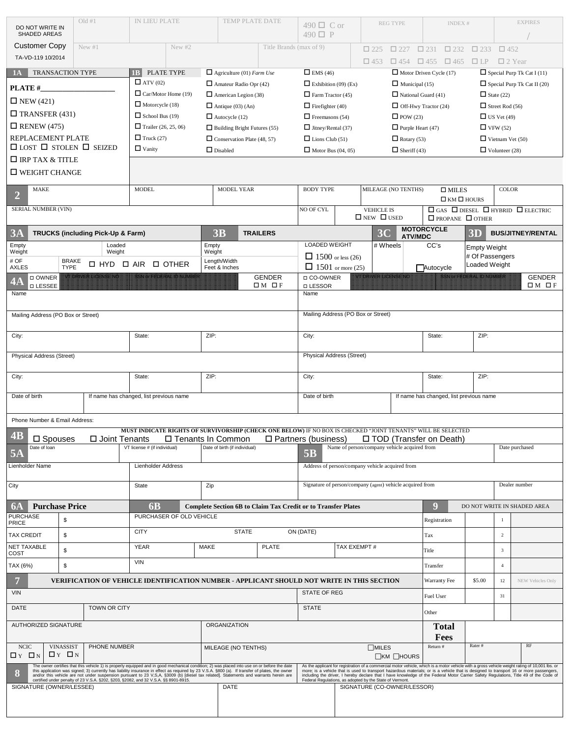|                                                                                                                 | Old #1<br>DO NOT WRITE IN   |                                                                                                                                                                                                                                                                                                                                                                                                                                          | IN LIEU PLATE                |                                    |                                                              | TEMP PLATE DATE                  |                                                                                                              | $490 \Box C$ or                                           |                             | <b>REG TYPE</b>             |                                                                           |                                                 | <b>INDEX#</b>                                                                         |                                                         | <b>EXPIRES</b> |                                                                                                                                                                                                                                                                                                                                                                                                                                   |
|-----------------------------------------------------------------------------------------------------------------|-----------------------------|------------------------------------------------------------------------------------------------------------------------------------------------------------------------------------------------------------------------------------------------------------------------------------------------------------------------------------------------------------------------------------------------------------------------------------------|------------------------------|------------------------------------|--------------------------------------------------------------|----------------------------------|--------------------------------------------------------------------------------------------------------------|-----------------------------------------------------------|-----------------------------|-----------------------------|---------------------------------------------------------------------------|-------------------------------------------------|---------------------------------------------------------------------------------------|---------------------------------------------------------|----------------|-----------------------------------------------------------------------------------------------------------------------------------------------------------------------------------------------------------------------------------------------------------------------------------------------------------------------------------------------------------------------------------------------------------------------------------|
| SHADED AREAS                                                                                                    |                             |                                                                                                                                                                                                                                                                                                                                                                                                                                          |                              |                                    |                                                              |                                  |                                                                                                              | $490 \Box P$                                              |                             |                             |                                                                           |                                                 |                                                                                       |                                                         |                |                                                                                                                                                                                                                                                                                                                                                                                                                                   |
| <b>Customer Copy</b><br>TA-VD-119 10/2014                                                                       | New#1                       |                                                                                                                                                                                                                                                                                                                                                                                                                                          |                              | New #2                             |                                                              |                                  | Title Brands (max of 9)                                                                                      |                                                           |                             | $\Box$ 225                  | $\Box$ 227                                                                | $\square$ 231                                   | $\square$ 232                                                                         | $\Box$ 233                                              | $\square$ 452  |                                                                                                                                                                                                                                                                                                                                                                                                                                   |
|                                                                                                                 |                             |                                                                                                                                                                                                                                                                                                                                                                                                                                          |                              |                                    |                                                              |                                  |                                                                                                              |                                                           |                             | $\Box$ 453                  | $\Box$ 454                                                                | $\Box$ 455                                      | $\Box$ 465                                                                            | $\Box$ LP                                               | $\Box$ 2 Year  |                                                                                                                                                                                                                                                                                                                                                                                                                                   |
| <b>TRANSACTION TYPE</b><br>1 <sub>A</sub>                                                                       |                             |                                                                                                                                                                                                                                                                                                                                                                                                                                          | 1B<br>$\Box$ ATV (02)        | PLATE TYPE                         |                                                              | $\Box$ Agriculture (01) Farm Use |                                                                                                              | $\Box$ EMS (46)<br>$\Box$ Exhibition (09) (Ex)            |                             |                             | $\Box$ Motor Driven Cycle (17)<br>$\Box$ Municipal (15)                   |                                                 |                                                                                       |                                                         |                | $\Box$ Special Purp Tk Cat I (11)                                                                                                                                                                                                                                                                                                                                                                                                 |
| <b>PLATE#</b>                                                                                                   |                             |                                                                                                                                                                                                                                                                                                                                                                                                                                          | $\Box$ Car/Motor Home (19)   |                                    | $\Box$ Amateur Radio Opr (42)<br>$\Box$ American Legion (38) |                                  | $\Box$ Farm Tractor (45)                                                                                     |                                                           |                             | $\Box$ National Guard (41)  |                                                                           |                                                 |                                                                                       | $\Box$ Special Purp Tk Cat II (20)<br>$\Box$ State (22) |                |                                                                                                                                                                                                                                                                                                                                                                                                                                   |
| $\Box$ NEW (421)                                                                                                |                             |                                                                                                                                                                                                                                                                                                                                                                                                                                          | $\Box$ Motorcycle (18)       |                                    | $\Box$ Antique (03) (An)                                     |                                  | $\Box$ Firefighter (40)                                                                                      |                                                           | $\Box$ Off-Hwy Tractor (24) |                             |                                                                           | $\Box$ Street Rod (56)                          |                                                                                       |                                                         |                |                                                                                                                                                                                                                                                                                                                                                                                                                                   |
| $\Box$ TRANSFER (431)                                                                                           |                             |                                                                                                                                                                                                                                                                                                                                                                                                                                          | $\Box$ School Bus (19)       |                                    | $\Box$ Autocycle (12)                                        |                                  | $\Box$ Freemasons (54)                                                                                       |                                                           | $\Box$ POW (23)             |                             |                                                                           | $\Box$ US Vet (49)                              |                                                                                       |                                                         |                |                                                                                                                                                                                                                                                                                                                                                                                                                                   |
| $\Box$ RENEW (475)                                                                                              |                             |                                                                                                                                                                                                                                                                                                                                                                                                                                          | $\Box$ Trailer (26, 25, 06)  |                                    | $\hfill\blacksquare$<br>Building Bright Futures (55)         |                                  | $\Box$ Jitney/Rental (37)                                                                                    |                                                           |                             | $\Box$ Purple Heart (47)    |                                                                           |                                                 | $\Box$ VFW (52)                                                                       |                                                         |                |                                                                                                                                                                                                                                                                                                                                                                                                                                   |
| REPLACEMENT PLATE                                                                                               |                             | $\Box$ Truck (27)                                                                                                                                                                                                                                                                                                                                                                                                                        |                              | $\Box$ Conservation Plate (48, 57) |                                                              | $\Box$ Lions Club (51)           |                                                                                                              | $\Box$ Rotary (53)                                        |                             |                             | $\Box$ Vietnam Vet (50)                                                   |                                                 |                                                                                       |                                                         |                |                                                                                                                                                                                                                                                                                                                                                                                                                                   |
| $\Box$ LOST $\Box$ STOLEN $\Box$ SEIZED                                                                         |                             |                                                                                                                                                                                                                                                                                                                                                                                                                                          | $\Box$ Vanity                |                                    | $\Box$ Disabled                                              |                                  | $\Box$ Motor Bus (04, 05)                                                                                    |                                                           | $\Box$ Sheriff (43)         |                             |                                                                           | $\Box$ Volunteer (28)                           |                                                                                       |                                                         |                |                                                                                                                                                                                                                                                                                                                                                                                                                                   |
| $\Box$ IRP TAX & TITLE                                                                                          |                             |                                                                                                                                                                                                                                                                                                                                                                                                                                          |                              |                                    |                                                              |                                  |                                                                                                              |                                                           |                             |                             |                                                                           |                                                 |                                                                                       |                                                         |                |                                                                                                                                                                                                                                                                                                                                                                                                                                   |
| $\square$ WEIGHT CHANGE                                                                                         |                             |                                                                                                                                                                                                                                                                                                                                                                                                                                          |                              |                                    |                                                              |                                  |                                                                                                              |                                                           |                             |                             |                                                                           |                                                 |                                                                                       |                                                         |                |                                                                                                                                                                                                                                                                                                                                                                                                                                   |
| <b>MAKE</b><br>$\overline{2}$                                                                                   |                             |                                                                                                                                                                                                                                                                                                                                                                                                                                          | <b>MODEL</b>                 |                                    | <b>MODEL YEAR</b>                                            |                                  | <b>BODY TYPE</b>                                                                                             |                                                           |                             | MILEAGE (NO TENTHS)         |                                                                           | $\square$ MILES<br>$\square$ KM $\square$ HOURS |                                                                                       | <b>COLOR</b>                                            |                |                                                                                                                                                                                                                                                                                                                                                                                                                                   |
| <b>SERIAL NUMBER (VIN)</b>                                                                                      |                             |                                                                                                                                                                                                                                                                                                                                                                                                                                          |                              |                                    |                                                              |                                  | NO OF CYL                                                                                                    |                                                           |                             |                             | <b>VEHICLE IS</b><br>$\Box$ NEW $\Box$ USED                               |                                                 | $\Box$ GAS $\Box$ DIESEL $\Box$ HYBRID $\Box$ ELECTRIC<br>$\Box$ PROPANE $\Box$ OTHER |                                                         |                |                                                                                                                                                                                                                                                                                                                                                                                                                                   |
| 3A                                                                                                              |                             | TRUCKS (including Pick-Up & Farm)                                                                                                                                                                                                                                                                                                                                                                                                        |                              |                                    | 3B                                                           |                                  | <b>TRAILERS</b>                                                                                              |                                                           |                             | 3 <sub>C</sub>              |                                                                           | <b>MOTORCYCLE</b>                               |                                                                                       | 3D                                                      |                | <b>BUS/JITNEY/RENTAL</b>                                                                                                                                                                                                                                                                                                                                                                                                          |
| Empty                                                                                                           |                             | Loaded                                                                                                                                                                                                                                                                                                                                                                                                                                   |                              |                                    | Empty                                                        |                                  |                                                                                                              | <b>LOADED WEIGHT</b>                                      |                             | # Wheels                    | <b>ATV/MDC</b>                                                            | CC's                                            |                                                                                       |                                                         |                |                                                                                                                                                                                                                                                                                                                                                                                                                                   |
| Weight                                                                                                          |                             | Weight                                                                                                                                                                                                                                                                                                                                                                                                                                   |                              |                                    | Weight                                                       |                                  |                                                                                                              | $\Box$ 1500 or less (26)                                  |                             |                             |                                                                           |                                                 |                                                                                       | <b>Empty Weight</b><br># Of Passengers                  |                |                                                                                                                                                                                                                                                                                                                                                                                                                                   |
| # OF<br><b>AXLES</b>                                                                                            | <b>BRAKE</b><br><b>TYPE</b> | $\Box$ HYD                                                                                                                                                                                                                                                                                                                                                                                                                               | $\square$ AIR                | □ OTHER                            |                                                              | Length/Width<br>Feet & Inches    |                                                                                                              | $\Box$ 1501 or more (25)                                  |                             |                             |                                                                           | Autocycle                                       |                                                                                       | Loaded Weight                                           |                |                                                                                                                                                                                                                                                                                                                                                                                                                                   |
| □ OWNER<br>4A                                                                                                   |                             | <b>A BRITISHO NGC 198</b>                                                                                                                                                                                                                                                                                                                                                                                                                |                              | SSNGGEBERALIDING NGC               |                                                              |                                  | <b>GENDER</b>                                                                                                | □ CO-OWNER                                                |                             | <b>VT DRIVER LICENSE NO</b> |                                                                           |                                                 |                                                                                       | SSN or FEDERAL ID NUMBER                                |                | <b>GENDER</b>                                                                                                                                                                                                                                                                                                                                                                                                                     |
| <b>D LESSEE</b><br>Name                                                                                         |                             |                                                                                                                                                                                                                                                                                                                                                                                                                                          |                              |                                    |                                                              |                                  | $\Box M$ $\Box F$                                                                                            | □ LESSOR<br>Name                                          |                             |                             |                                                                           |                                                 |                                                                                       |                                                         |                | $\Box M$ $\Box F$                                                                                                                                                                                                                                                                                                                                                                                                                 |
|                                                                                                                 |                             |                                                                                                                                                                                                                                                                                                                                                                                                                                          |                              |                                    |                                                              |                                  |                                                                                                              |                                                           |                             |                             |                                                                           |                                                 |                                                                                       |                                                         |                |                                                                                                                                                                                                                                                                                                                                                                                                                                   |
| Mailing Address (PO Box or Street)                                                                              |                             |                                                                                                                                                                                                                                                                                                                                                                                                                                          |                              |                                    |                                                              |                                  |                                                                                                              | Mailing Address (PO Box or Street)                        |                             |                             |                                                                           |                                                 |                                                                                       |                                                         |                |                                                                                                                                                                                                                                                                                                                                                                                                                                   |
| City:<br>State:                                                                                                 |                             |                                                                                                                                                                                                                                                                                                                                                                                                                                          | ZIP:                         |                                    |                                                              | City:                            |                                                                                                              |                                                           |                             | State:<br>ZIP:              |                                                                           |                                                 |                                                                                       |                                                         |                |                                                                                                                                                                                                                                                                                                                                                                                                                                   |
| Physical Address (Street)                                                                                       |                             |                                                                                                                                                                                                                                                                                                                                                                                                                                          |                              |                                    |                                                              |                                  |                                                                                                              | Physical Address (Street)                                 |                             |                             |                                                                           |                                                 |                                                                                       |                                                         |                |                                                                                                                                                                                                                                                                                                                                                                                                                                   |
|                                                                                                                 |                             |                                                                                                                                                                                                                                                                                                                                                                                                                                          |                              |                                    |                                                              |                                  |                                                                                                              |                                                           |                             |                             |                                                                           |                                                 |                                                                                       |                                                         |                |                                                                                                                                                                                                                                                                                                                                                                                                                                   |
| City:                                                                                                           |                             |                                                                                                                                                                                                                                                                                                                                                                                                                                          | State:                       |                                    | ZIP:                                                         |                                  |                                                                                                              | City:                                                     |                             |                             |                                                                           | State:                                          |                                                                                       | ZIP:                                                    |                |                                                                                                                                                                                                                                                                                                                                                                                                                                   |
| Date of birth                                                                                                   |                             | If name has changed, list previous name                                                                                                                                                                                                                                                                                                                                                                                                  |                              |                                    |                                                              |                                  |                                                                                                              | Date of birth                                             |                             |                             |                                                                           |                                                 |                                                                                       | If name has changed, list previous name                 |                |                                                                                                                                                                                                                                                                                                                                                                                                                                   |
|                                                                                                                 |                             |                                                                                                                                                                                                                                                                                                                                                                                                                                          |                              |                                    |                                                              |                                  |                                                                                                              |                                                           |                             |                             |                                                                           |                                                 |                                                                                       |                                                         |                |                                                                                                                                                                                                                                                                                                                                                                                                                                   |
| Phone Number & Email Address:                                                                                   |                             |                                                                                                                                                                                                                                                                                                                                                                                                                                          |                              |                                    |                                                              |                                  |                                                                                                              |                                                           |                             |                             |                                                                           |                                                 |                                                                                       |                                                         |                |                                                                                                                                                                                                                                                                                                                                                                                                                                   |
|                                                                                                                 |                             |                                                                                                                                                                                                                                                                                                                                                                                                                                          |                              |                                    |                                                              |                                  | MUST INDICATE RIGHTS OF SURVIVORSHIP (CHECK ONE BELOW) IF NO BOX IS CHECKED "JOINT TENANTS" WILL BE SELECTED |                                                           |                             |                             |                                                                           |                                                 |                                                                                       |                                                         |                |                                                                                                                                                                                                                                                                                                                                                                                                                                   |
| $\overline{AB}$<br>□ Spouses<br>Date of loan                                                                    |                             | □ Joint Tenants                                                                                                                                                                                                                                                                                                                                                                                                                          | VT license # (if individual) | □ Tenants In Common                |                                                              | Date of birth (if individual)    |                                                                                                              | $\Box$ Partners (business)                                |                             |                             | □ TOD (Transfer on Death)<br>Name of person/company vehicle acquired from |                                                 |                                                                                       |                                                         |                | Date purchased                                                                                                                                                                                                                                                                                                                                                                                                                    |
| 5A                                                                                                              |                             |                                                                                                                                                                                                                                                                                                                                                                                                                                          |                              |                                    |                                                              |                                  |                                                                                                              | <b>5B</b>                                                 |                             |                             |                                                                           |                                                 |                                                                                       |                                                         |                |                                                                                                                                                                                                                                                                                                                                                                                                                                   |
| Lienholder Name                                                                                                 |                             |                                                                                                                                                                                                                                                                                                                                                                                                                                          | <b>Lienholder Address</b>    |                                    |                                                              |                                  |                                                                                                              | Address of person/company vehicle acquired from           |                             |                             |                                                                           |                                                 |                                                                                       |                                                         |                |                                                                                                                                                                                                                                                                                                                                                                                                                                   |
| City                                                                                                            |                             |                                                                                                                                                                                                                                                                                                                                                                                                                                          | <b>State</b>                 |                                    | Zip                                                          |                                  |                                                                                                              | Signature of person/company (agent) vehicle acquired from |                             |                             |                                                                           |                                                 |                                                                                       |                                                         |                | Dealer number                                                                                                                                                                                                                                                                                                                                                                                                                     |
|                                                                                                                 |                             |                                                                                                                                                                                                                                                                                                                                                                                                                                          |                              |                                    |                                                              |                                  |                                                                                                              |                                                           |                             |                             |                                                                           |                                                 |                                                                                       |                                                         |                |                                                                                                                                                                                                                                                                                                                                                                                                                                   |
| 6A<br><b>Purchase Price</b>                                                                                     |                             |                                                                                                                                                                                                                                                                                                                                                                                                                                          | 6 <sub>B</sub>               |                                    |                                                              |                                  | <b>Complete Section 6B to Claim Tax Credit or to Transfer Plates</b>                                         |                                                           |                             |                             |                                                                           | q                                               |                                                                                       |                                                         |                | DO NOT WRITE IN SHADED AREA                                                                                                                                                                                                                                                                                                                                                                                                       |
| <b>PURCHASE</b><br>PRICE                                                                                        | \$                          |                                                                                                                                                                                                                                                                                                                                                                                                                                          |                              | PURCHASER OF OLD VEHICLE           |                                                              |                                  |                                                                                                              |                                                           |                             |                             |                                                                           | Registration                                    |                                                                                       |                                                         |                |                                                                                                                                                                                                                                                                                                                                                                                                                                   |
| <b>TAX CREDIT</b>                                                                                               | \$                          |                                                                                                                                                                                                                                                                                                                                                                                                                                          | <b>CITY</b>                  |                                    |                                                              | <b>STATE</b>                     |                                                                                                              | ON (DATE)                                                 |                             |                             |                                                                           | Tax                                             |                                                                                       |                                                         | 2              |                                                                                                                                                                                                                                                                                                                                                                                                                                   |
| NET TAXABLE                                                                                                     |                             |                                                                                                                                                                                                                                                                                                                                                                                                                                          | <b>YEAR</b>                  |                                    | <b>MAKE</b>                                                  |                                  | <b>PLATE</b>                                                                                                 |                                                           | TAX EXEMPT #                |                             |                                                                           |                                                 |                                                                                       |                                                         |                |                                                                                                                                                                                                                                                                                                                                                                                                                                   |
| COST                                                                                                            | $$\mathbb{S}$$              |                                                                                                                                                                                                                                                                                                                                                                                                                                          |                              |                                    |                                                              |                                  |                                                                                                              |                                                           |                             |                             |                                                                           | Title                                           |                                                                                       |                                                         | $\overline{3}$ |                                                                                                                                                                                                                                                                                                                                                                                                                                   |
| TAX (6%)                                                                                                        | $$\mathbb{S}$$              |                                                                                                                                                                                                                                                                                                                                                                                                                                          | <b>VIN</b>                   |                                    |                                                              |                                  |                                                                                                              |                                                           |                             |                             |                                                                           | Transfer                                        |                                                                                       |                                                         | $\overline{4}$ |                                                                                                                                                                                                                                                                                                                                                                                                                                   |
| 7                                                                                                               |                             |                                                                                                                                                                                                                                                                                                                                                                                                                                          |                              |                                    |                                                              |                                  | VERIFICATION OF VEHICLE IDENTIFICATION NUMBER - APPLICANT SHOULD NOT WRITE IN THIS SECTION                   |                                                           |                             |                             |                                                                           |                                                 | Warranty Fee                                                                          | \$5.00                                                  | 12             | NEW Vehicles Only                                                                                                                                                                                                                                                                                                                                                                                                                 |
| <b>VIN</b>                                                                                                      |                             |                                                                                                                                                                                                                                                                                                                                                                                                                                          |                              |                                    |                                                              |                                  |                                                                                                              | <b>STATE OF REG</b>                                       |                             |                             |                                                                           | Fuel User                                       |                                                                                       |                                                         | 31             |                                                                                                                                                                                                                                                                                                                                                                                                                                   |
| <b>DATE</b><br><b>TOWN OR CITY</b>                                                                              |                             |                                                                                                                                                                                                                                                                                                                                                                                                                                          |                              |                                    |                                                              |                                  | <b>STATE</b>                                                                                                 |                                                           |                             |                             | Other                                                                     |                                                 |                                                                                       |                                                         |                |                                                                                                                                                                                                                                                                                                                                                                                                                                   |
| AUTHORIZED SIGNATURE                                                                                            |                             |                                                                                                                                                                                                                                                                                                                                                                                                                                          |                              |                                    |                                                              | <b>ORGANIZATION</b>              |                                                                                                              |                                                           |                             |                             |                                                                           |                                                 | <b>Total</b>                                                                          |                                                         |                |                                                                                                                                                                                                                                                                                                                                                                                                                                   |
|                                                                                                                 |                             |                                                                                                                                                                                                                                                                                                                                                                                                                                          |                              |                                    |                                                              |                                  |                                                                                                              |                                                           |                             |                             |                                                                           | Return #                                        | Fees                                                                                  | Rater#                                                  |                | RF                                                                                                                                                                                                                                                                                                                                                                                                                                |
| <b>NCIC</b><br><b>VINASSIST</b><br>PHONE NUMBER<br>$\Box$ Y $\Box$ N<br>$\Box$ Y $\Box$ N                       |                             |                                                                                                                                                                                                                                                                                                                                                                                                                                          |                              | MILEAGE (NO TENTHS)                |                                                              |                                  |                                                                                                              | $\Box$ MILES                                              | $\Box$ KM $\Box$ HOURS      |                             |                                                                           |                                                 |                                                                                       |                                                         |                |                                                                                                                                                                                                                                                                                                                                                                                                                                   |
| 8                                                                                                               |                             | The owner certifies that this vehicle 1) is properly equipped and in good mechanical condition; 2) was placed into use on or before the date<br>this application was signed; 3) currently has liability insurance in effect as required by 23 V.S.A. §800 (a). If transfer of plates, the owner<br>and/or this vehicle are not under suspension pursuant to 23 V,S,A, §3009 (b) [diesel tax related]. Statements and warrants herein are |                              |                                    |                                                              |                                  |                                                                                                              |                                                           |                             |                             |                                                                           |                                                 |                                                                                       |                                                         |                | As the applicant for registration of a commercial motor vehicle, which is a motor vehicle with a gross vehicle weight rating of 10,001 lbs. or<br>more; is a vehicle that is used to transport hazardous materials; or is a vehicle that is designed to transport 16 or more passengers,<br>including the driver, I hereby declare that I have knowledge of the Federal Motor Carrier Safety Regulations, Title 49 of the Code of |
| certified under penalty of 23 V.S.A. §202, §203, §2082, and 32 V.S.A. §§ 8901-8915.<br>SIGNATURE (OWNER/LESSEE) |                             |                                                                                                                                                                                                                                                                                                                                                                                                                                          |                              |                                    | DATE                                                         |                                  | Federal Regulations, as adopted by the State of Vermont.                                                     |                                                           |                             | SIGNATURE (CO-OWNER/LESSOR) |                                                                           |                                                 |                                                                                       |                                                         |                |                                                                                                                                                                                                                                                                                                                                                                                                                                   |
|                                                                                                                 |                             |                                                                                                                                                                                                                                                                                                                                                                                                                                          |                              |                                    |                                                              |                                  |                                                                                                              |                                                           |                             |                             |                                                                           |                                                 |                                                                                       |                                                         |                |                                                                                                                                                                                                                                                                                                                                                                                                                                   |
|                                                                                                                 |                             |                                                                                                                                                                                                                                                                                                                                                                                                                                          |                              |                                    |                                                              |                                  |                                                                                                              |                                                           |                             |                             |                                                                           |                                                 |                                                                                       |                                                         |                |                                                                                                                                                                                                                                                                                                                                                                                                                                   |
|                                                                                                                 |                             |                                                                                                                                                                                                                                                                                                                                                                                                                                          |                              |                                    |                                                              |                                  |                                                                                                              |                                                           |                             |                             |                                                                           |                                                 |                                                                                       |                                                         |                |                                                                                                                                                                                                                                                                                                                                                                                                                                   |